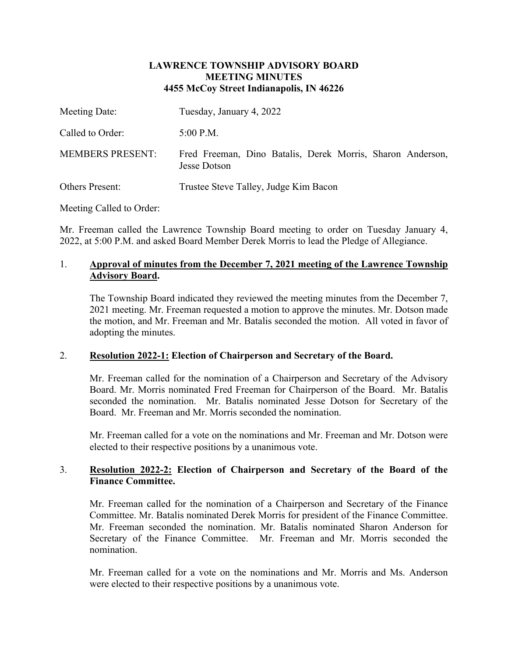### **LAWRENCE TOWNSHIP ADVISORY BOARD MEETING MINUTES 4455 McCoy Street Indianapolis, IN 46226**

| Meeting Date:           | Tuesday, January 4, 2022                                                   |
|-------------------------|----------------------------------------------------------------------------|
| Called to Order:        | $5:00$ P.M.                                                                |
| <b>MEMBERS PRESENT:</b> | Fred Freeman, Dino Batalis, Derek Morris, Sharon Anderson,<br>Jesse Dotson |
| <b>Others Present:</b>  | Trustee Steve Talley, Judge Kim Bacon                                      |

Meeting Called to Order:

Mr. Freeman called the Lawrence Township Board meeting to order on Tuesday January 4, 2022, at 5:00 P.M. and asked Board Member Derek Morris to lead the Pledge of Allegiance.

# 1. **Approval of minutes from the December 7, 2021 meeting of the Lawrence Township Advisory Board.**

The Township Board indicated they reviewed the meeting minutes from the December 7, 2021 meeting. Mr. Freeman requested a motion to approve the minutes. Mr. Dotson made the motion, and Mr. Freeman and Mr. Batalis seconded the motion. All voted in favor of adopting the minutes.

## 2. **Resolution 2022-1: Election of Chairperson and Secretary of the Board.**

Mr. Freeman called for the nomination of a Chairperson and Secretary of the Advisory Board. Mr. Morris nominated Fred Freeman for Chairperson of the Board. Mr. Batalis seconded the nomination. Mr. Batalis nominated Jesse Dotson for Secretary of the Board. Mr. Freeman and Mr. Morris seconded the nomination.

Mr. Freeman called for a vote on the nominations and Mr. Freeman and Mr. Dotson were elected to their respective positions by a unanimous vote.

## 3. **Resolution 2022-2: Election of Chairperson and Secretary of the Board of the Finance Committee.**

Mr. Freeman called for the nomination of a Chairperson and Secretary of the Finance Committee. Mr. Batalis nominated Derek Morris for president of the Finance Committee. Mr. Freeman seconded the nomination. Mr. Batalis nominated Sharon Anderson for Secretary of the Finance Committee. Mr. Freeman and Mr. Morris seconded the nomination.

Mr. Freeman called for a vote on the nominations and Mr. Morris and Ms. Anderson were elected to their respective positions by a unanimous vote.